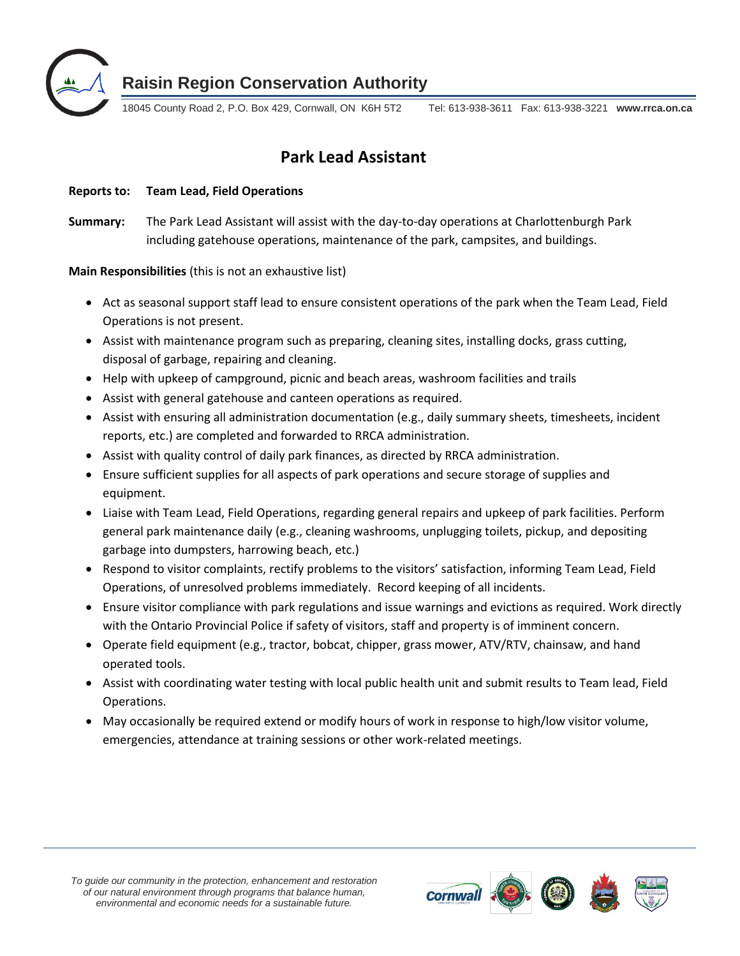

**Raisin Region Conservation Authority**

18045 County Road 2, P.O. Box 429, Cornwall, ON K6H 5T2 Tel: 613-938-3611 Fax: 613-938-3221 **www.rrca.on.ca**

# **Park Lead Assistant**

**Reports to: Team Lead, Field Operations**

**Summary:** The Park Lead Assistant will assist with the day-to-day operations at Charlottenburgh Park including gatehouse operations, maintenance of the park, campsites, and buildings.

**Main Responsibilities** (this is not an exhaustive list)

- Act as seasonal support staff lead to ensure consistent operations of the park when the Team Lead, Field Operations is not present.
- Assist with maintenance program such as preparing, cleaning sites, installing docks, grass cutting, disposal of garbage, repairing and cleaning.
- Help with upkeep of campground, picnic and beach areas, washroom facilities and trails
- Assist with general gatehouse and canteen operations as required.
- Assist with ensuring all administration documentation (e.g., daily summary sheets, timesheets, incident reports, etc.) are completed and forwarded to RRCA administration.
- Assist with quality control of daily park finances, as directed by RRCA administration.
- Ensure sufficient supplies for all aspects of park operations and secure storage of supplies and equipment.
- Liaise with Team Lead, Field Operations, regarding general repairs and upkeep of park facilities. Perform general park maintenance daily (e.g., cleaning washrooms, unplugging toilets, pickup, and depositing garbage into dumpsters, harrowing beach, etc.)
- Respond to visitor complaints, rectify problems to the visitors' satisfaction, informing Team Lead, Field Operations, of unresolved problems immediately. Record keeping of all incidents.
- Ensure visitor compliance with park regulations and issue warnings and evictions as required. Work directly with the Ontario Provincial Police if safety of visitors, staff and property is of imminent concern.
- Operate field equipment (e.g., tractor, bobcat, chipper, grass mower, ATV/RTV, chainsaw, and hand operated tools.
- Assist with coordinating water testing with local public health unit and submit results to Team lead, Field Operations.
- May occasionally be required extend or modify hours of work in response to high/low visitor volume, emergencies, attendance at training sessions or other work-related meetings.

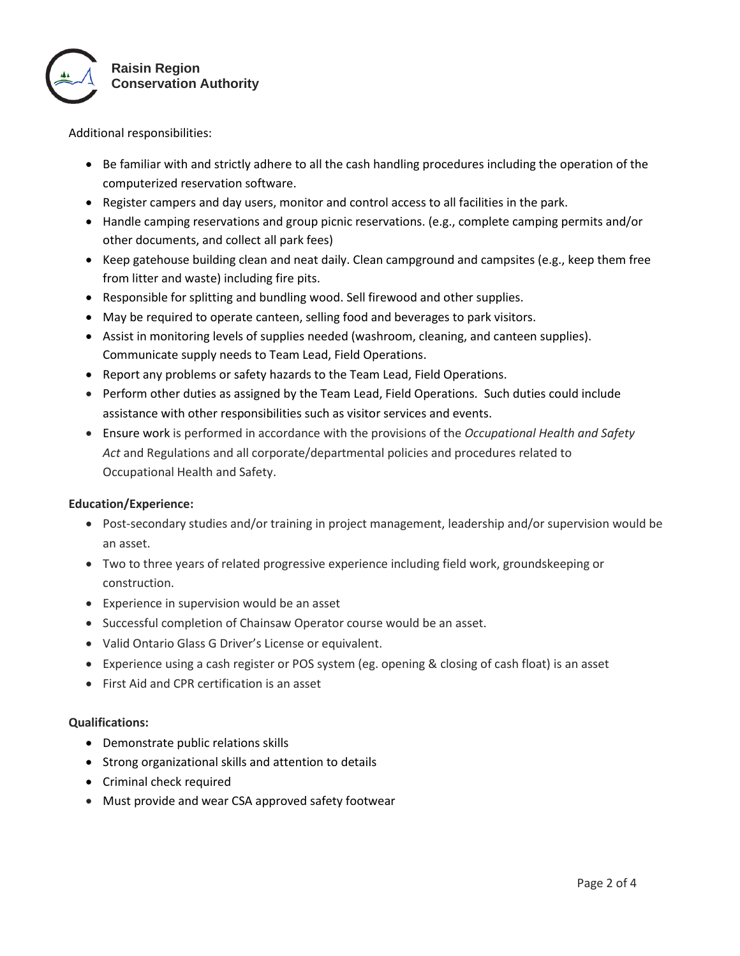

Additional responsibilities:

- Be familiar with and strictly adhere to all the cash handling procedures including the operation of the computerized reservation software.
- Register campers and day users, monitor and control access to all facilities in the park.
- Handle camping reservations and group picnic reservations. (e.g., complete camping permits and/or other documents, and collect all park fees)
- Keep gatehouse building clean and neat daily. Clean campground and campsites (e.g., keep them free from litter and waste) including fire pits.
- Responsible for splitting and bundling wood. Sell firewood and other supplies.
- May be required to operate canteen, selling food and beverages to park visitors.
- Assist in monitoring levels of supplies needed (washroom, cleaning, and canteen supplies). Communicate supply needs to Team Lead, Field Operations.
- Report any problems or safety hazards to the Team Lead, Field Operations.
- Perform other duties as assigned by the Team Lead, Field Operations. Such duties could include assistance with other responsibilities such as visitor services and events.
- Ensure work is performed in accordance with the provisions of the *Occupational Health and Safety Act* and Regulations and all corporate/departmental policies and procedures related to Occupational Health and Safety.

# **Education/Experience:**

- Post-secondary studies and/or training in project management, leadership and/or supervision would be an asset.
- Two to three years of related progressive experience including field work, groundskeeping or construction.
- Experience in supervision would be an asset
- Successful completion of Chainsaw Operator course would be an asset.
- Valid Ontario Glass G Driver's License or equivalent.
- Experience using a cash register or POS system (eg. opening & closing of cash float) is an asset
- First Aid and CPR certification is an asset

#### **Qualifications:**

- Demonstrate public relations skills
- Strong organizational skills and attention to details
- Criminal check required
- Must provide and wear CSA approved safety footwear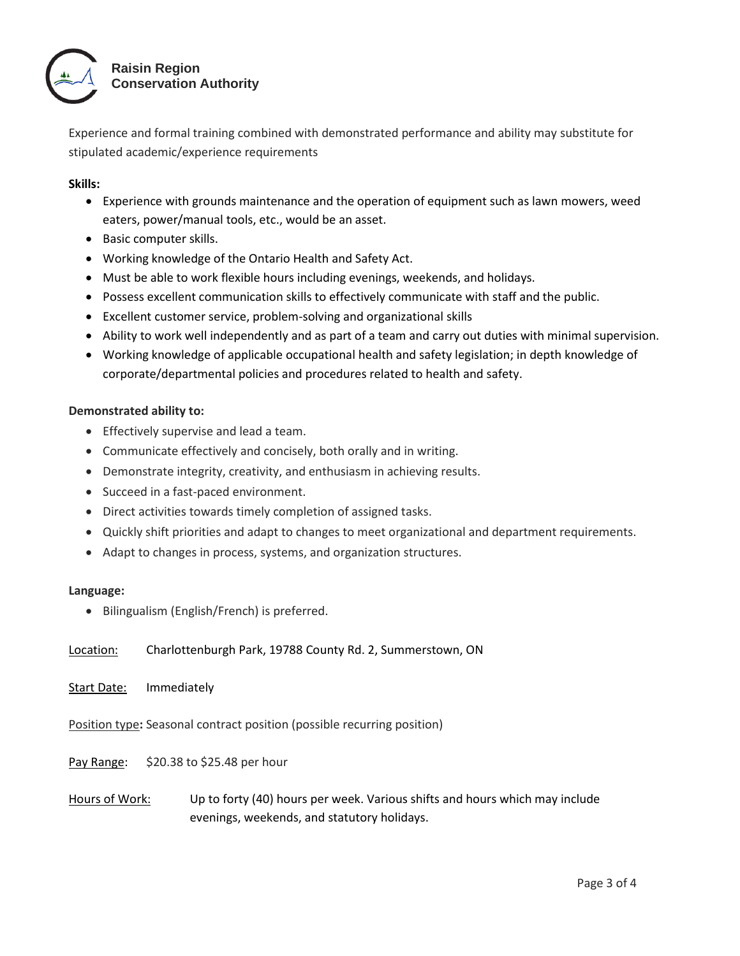

Experience and formal training combined with demonstrated performance and ability may substitute for stipulated academic/experience requirements

### **Skills:**

- Experience with grounds maintenance and the operation of equipment such as lawn mowers, weed eaters, power/manual tools, etc., would be an asset.
- Basic computer skills.
- Working knowledge of the Ontario Health and Safety Act.
- Must be able to work flexible hours including evenings, weekends, and holidays.
- Possess excellent communication skills to effectively communicate with staff and the public.
- Excellent customer service, problem-solving and organizational skills
- Ability to work well independently and as part of a team and carry out duties with minimal supervision.
- Working knowledge of applicable occupational health and safety legislation; in depth knowledge of corporate/departmental policies and procedures related to health and safety.

### **Demonstrated ability to:**

- Effectively supervise and lead a team.
- Communicate effectively and concisely, both orally and in writing.
- Demonstrate integrity, creativity, and enthusiasm in achieving results.
- Succeed in a fast-paced environment.
- Direct activities towards timely completion of assigned tasks.
- Quickly shift priorities and adapt to changes to meet organizational and department requirements.
- Adapt to changes in process, systems, and organization structures.

# **Language:**

• Bilingualism (English/French) is preferred.

Location: Charlottenburgh Park, 19788 County Rd. 2, Summerstown, ON

Start Date: Immediately

Position type**:** Seasonal contract position (possible recurring position)

Pay Range: \$20.38 to \$25.48 per hour

Hours of Work: Up to forty (40) hours per week. Various shifts and hours which may include evenings, weekends, and statutory holidays.